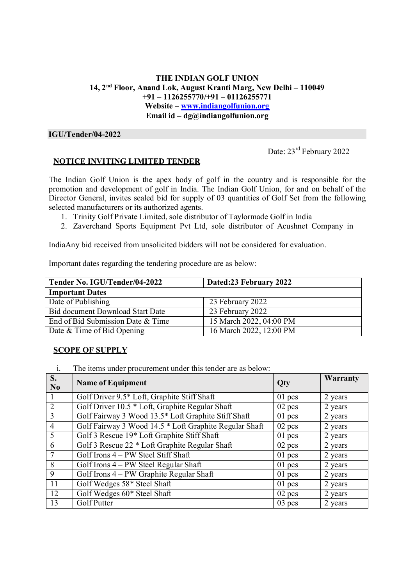## **THE INDIAN GOLF UNION 14, 2nd Floor, Anand Lok, August Kranti Marg, New Delhi – 110049 +91 – 1126255770/+91 – 01126255771 Website – www.indiangolfunion.org Email id – dg@indiangolfunion.org**

### **IGU/Tender/04-2022**

Date:  $23<sup>rd</sup>$  February 2022

## **NOTICE INVITING LIMITED TENDER**

The Indian Golf Union is the apex body of golf in the country and is responsible for the promotion and development of golf in India. The Indian Golf Union, for and on behalf of the Director General, invites sealed bid for supply of 03 quantities of Golf Set from the following selected manufacturers or its authorized agents.

- 1. Trinity Golf Private Limited, sole distributor of Taylormade Golf in India
- 2. Zaverchand Sports Equipment Pvt Ltd, sole distributor of Acushnet Company in

India Any bid received from unsolicited bidders will not be considered for evaluation.

Important dates regarding the tendering procedure are as below:

| Tender No. IGU/Tender/04-2022     | Dated:23 February 2022  |
|-----------------------------------|-------------------------|
| <b>Important Dates</b>            |                         |
| Date of Publishing                | 23 February 2022        |
| Bid document Download Start Date  | 23 February 2022        |
| End of Bid Submission Date & Time | 15 March 2022, 04:00 PM |
| Date & Time of Bid Opening        | 16 March 2022, 12:00 PM |

# **SCOPE OF SUPPLY**

i. The items under procurement under this tender are as below:

| $S_{\bullet}$<br>N <sub>0</sub> | <b>Name of Equipment</b>                               | Qty      | <b>Warranty</b> |
|---------------------------------|--------------------------------------------------------|----------|-----------------|
|                                 | Golf Driver 9.5* Loft, Graphite Stiff Shaft            | $01$ pcs | 2 years         |
| 2                               | Golf Driver 10.5 * Loft, Graphite Regular Shaft        | $02$ pcs | 2 years         |
| $\overline{3}$                  | Golf Fairway 3 Wood 13.5* Loft Graphite Stiff Shaft    | $01$ pcs | 2 years         |
| $\overline{4}$                  | Golf Fairway 3 Wood 14.5 * Loft Graphite Regular Shaft | $02$ pcs | 2 years         |
| 5                               | Golf 3 Rescue 19* Loft Graphite Stiff Shaft            | $01$ pcs | 2 years         |
| 6                               | Golf 3 Rescue 22 * Loft Graphite Regular Shaft         | $02$ pcs | 2 years         |
| $\overline{7}$                  | Golf Irons 4 – PW Steel Stiff Shaft                    | $01$ pcs | 2 years         |
| 8                               | Golf Irons 4 – PW Steel Regular Shaft                  | $01$ pcs | 2 years         |
| 9                               | Golf Irons 4 – PW Graphite Regular Shaft               | $01$ pcs | 2 years         |
| 11                              | Golf Wedges 58* Steel Shaft                            | $01$ pcs | 2 years         |
| 12                              | Golf Wedges 60* Steel Shaft                            | $02$ pcs | 2 years         |
| 13                              | Golf Putter                                            | $03$ pcs | 2 years         |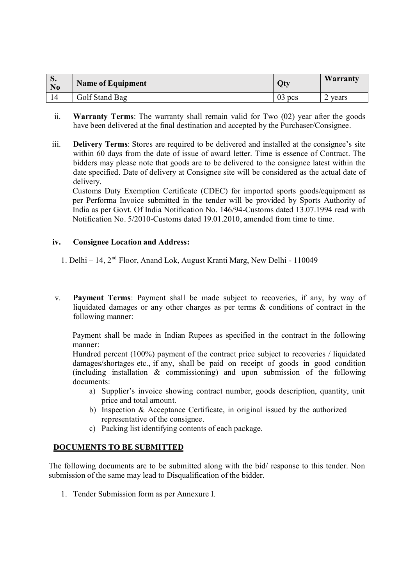| $\mathbf{v}$<br>N <sub>0</sub> | <b>Name of Equipment</b> | Qty      | Warranty |
|--------------------------------|--------------------------|----------|----------|
|                                | Golf Stand Bag           | $03$ pcs | vears    |

- ii. **Warranty Terms**: The warranty shall remain valid for Two (02) year after the goods have been delivered at the final destination and accepted by the Purchaser/Consignee.
- iii. **Delivery Terms**: Stores are required to be delivered and installed at the consignee's site within 60 days from the date of issue of award letter. Time is essence of Contract. The bidders may please note that goods are to be delivered to the consignee latest within the date specified. Date of delivery at Consignee site will be considered as the actual date of delivery.

Customs Duty Exemption Certificate (CDEC) for imported sports goods/equipment as per Performa Invoice submitted in the tender will be provided by Sports Authority of India as per Govt. Of India Notification No. 146/94-Customs dated 13.07.1994 read with Notification No. 5/2010-Customs dated 19.01.2010, amended from time to time.

## **iv. Consignee Location and Address:**

- 1. Delhi 14,  $2<sup>nd</sup>$  Floor, Anand Lok, August Kranti Marg, New Delhi 110049
- v. **Payment Terms**: Payment shall be made subject to recoveries, if any, by way of liquidated damages or any other charges as per terms & conditions of contract in the following manner:

Payment shall be made in Indian Rupees as specified in the contract in the following manner:

Hundred percent (100%) payment of the contract price subject to recoveries / liquidated damages/shortages etc., if any, shall be paid on receipt of goods in good condition (including installation & commissioning) and upon submission of the following documents:

- a) Supplier's invoice showing contract number, goods description, quantity, unit price and total amount.
- b) Inspection & Acceptance Certificate, in original issued by the authorized representative of the consignee.
- c) Packing list identifying contents of each package.

# **DOCUMENTS TO BE SUBMITTED**

The following documents are to be submitted along with the bid/ response to this tender. Non submission of the same may lead to Disqualification of the bidder.

1. Tender Submission form as per Annexure I.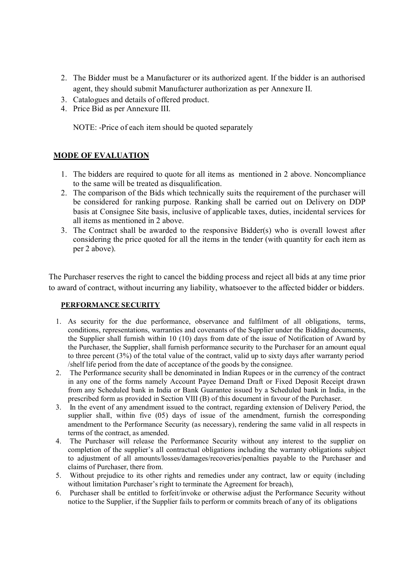- 2. The Bidder must be a Manufacturer or its authorized agent. If the bidder is an authorised agent, they should submit Manufacturer authorization as per Annexure II.
- 3. Catalogues and details of offered product.
- 4. Price Bid as per Annexure III.

NOTE: -Price of each item should be quoted separately

# **MODE OF EVALUATION**

- 1. The bidders are required to quote for all items as mentioned in 2 above. Noncompliance to the same will be treated as disqualification.
- 2. The comparison of the Bids which technically suits the requirement of the purchaser will be considered for ranking purpose. Ranking shall be carried out on Delivery on DDP basis at Consignee Site basis, inclusive of applicable taxes, duties, incidental services for all items as mentioned in 2 above.
- 3. The Contract shall be awarded to the responsive Bidder(s) who is overall lowest after considering the price quoted for all the items in the tender (with quantity for each item as per 2 above).

The Purchaser reserves the right to cancel the bidding process and reject all bids at any time prior to award of contract, without incurring any liability, whatsoever to the affected bidder or bidders.

#### **PERFORMANCE SECURITY**

- 1. As security for the due performance, observance and fulfilment of all obligations, terms, conditions, representations, warranties and covenants of the Supplier under the Bidding documents, the Supplier shall furnish within 10 (10) days from date of the issue of Notification of Award by the Purchaser, the Supplier, shall furnish performance security to the Purchaser for an amount equal to three percent (3%) of the total value of the contract, valid up to sixty days after warranty period /shelf life period from the date of acceptance of the goods by the consignee.
- 2. The Performance security shall be denominated in Indian Rupees or in the currency of the contract in any one of the forms namely Account Payee Demand Draft or Fixed Deposit Receipt drawn from any Scheduled bank in India or Bank Guarantee issued by a Scheduled bank in India, in the prescribed form as provided in Section VIII (B) of this document in favour of the Purchaser.
- 3. In the event of any amendment issued to the contract, regarding extension of Delivery Period, the supplier shall, within five (05) days of issue of the amendment, furnish the corresponding amendment to the Performance Security (as necessary), rendering the same valid in all respects in terms of the contract, as amended.
- 4. The Purchaser will release the Performance Security without any interest to the supplier on completion of the supplier's all contractual obligations including the warranty obligations subject to adjustment of all amounts/losses/damages/recoveries/penalties payable to the Purchaser and claims of Purchaser, there from.
- 5. Without prejudice to its other rights and remedies under any contract, law or equity (including without limitation Purchaser's right to terminate the Agreement for breach),
- 6. Purchaser shall be entitled to forfeit/invoke or otherwise adjust the Performance Security without notice to the Supplier, if the Supplier fails to perform or commits breach of any of its obligations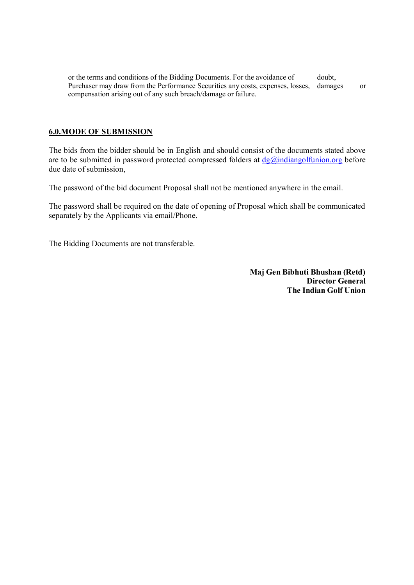or the terms and conditions of the Bidding Documents. For the avoidance of doubt, Purchaser may draw from the Performance Securities any costs, expenses, losses, damages or compensation arising out of any such breach/damage or failure.

#### **6.0.MODE OF SUBMISSION**

The bids from the bidder should be in English and should consist of the documents stated above are to be submitted in password protected compressed folders at  $\frac{dg(\vec{a})$  indiangolfunion.org before due date of submission,

The password of the bid document Proposal shall not be mentioned anywhere in the email.

The password shall be required on the date of opening of Proposal which shall be communicated separately by the Applicants via email/Phone.

The Bidding Documents are not transferable.

**Maj Gen Bibhuti Bhushan (Retd) Director General The Indian Golf Union**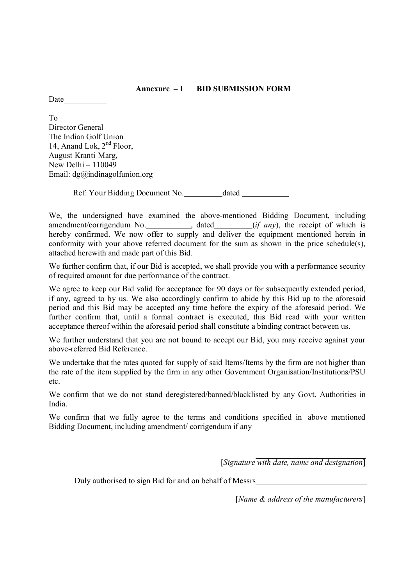#### **Annexure – I BID SUBMISSION FORM**

**Date** 

To Director General The Indian Golf Union 14, Anand Lok,  $2<sup>nd</sup>$  Floor, August Kranti Marg, New Delhi – 110049 Email: dg@indinagolfunion.org

Ref: Your Bidding Document No. dated

We, the undersigned have examined the above-mentioned Bidding Document, including amendment/corrigendum No. , dated (*if any*), the receipt of which is hereby confirmed. We now offer to supply and deliver the equipment mentioned herein in conformity with your above referred document for the sum as shown in the price schedule(s), attached herewith and made part of this Bid.

We further confirm that, if our Bid is accepted, we shall provide you with a performance security of required amount for due performance of the contract.

We agree to keep our Bid valid for acceptance for 90 days or for subsequently extended period, if any, agreed to by us. We also accordingly confirm to abide by this Bid up to the aforesaid period and this Bid may be accepted any time before the expiry of the aforesaid period. We further confirm that, until a formal contract is executed, this Bid read with your written acceptance thereof within the aforesaid period shall constitute a binding contract between us.

We further understand that you are not bound to accept our Bid, you may receive against your above-referred Bid Reference.

We undertake that the rates quoted for supply of said Items/Items by the firm are not higher than the rate of the item supplied by the firm in any other Government Organisation/Institutions/PSU etc.

We confirm that we do not stand deregistered/banned/blacklisted by any Govt. Authorities in India.

We confirm that we fully agree to the terms and conditions specified in above mentioned Bidding Document, including amendment/ corrigendum if any

[*Signature with date, name and designation*]

Duly authorised to sign Bid for and on behalf of Messrs

[*Name & address of the manufacturers*]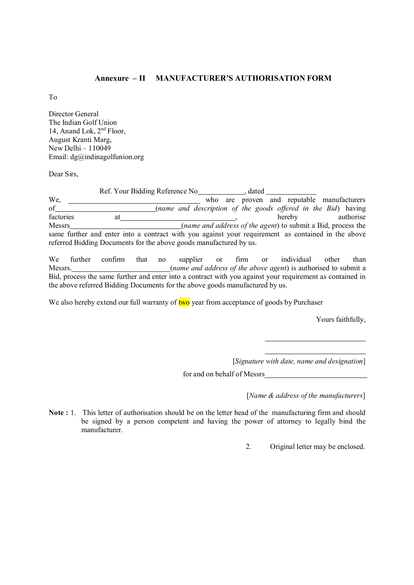#### **Annexure – II MANUFACTURER'S AUTHORISATION FORM**

To

Director General The Indian Golf Union 14, Anand Lok,  $2<sup>nd</sup>$  Floor, August Kranti Marg, New Delhi –  $110049$ Email: dg@indinagolfunion.org

Dear Sirs,

Ref. Your Bidding Reference No *diama in the Ref. Your Bidding Reference No* We, <u>the contracturers</u> who are proven and reputable manufacturers We, who are proven and reputable manufacturers of the goods offered in the Bid) having factories at hereby authorise factories at the state of the agent) to submit a Bid process the messes authorise authorise the state of the agent) to submit a Bid process the state of the agent) to submit a Bid process the state of the agent) to submit Messrs (*name and address of the agent*) to submit a Bid, process the same further and enter into a contract with you against your requirement as contained in the above referred Bidding Documents for the above goods manufactured by us.

We further confirm that no supplier or firm or individual other than Messrs. (*name and address of the above agent*) is authorised to submit a Bid, process the same further and enter into a contract with you against your requirement as contained in the above referred Bidding Documents for the above goods manufactured by us.

We also hereby extend our full warranty of two year from acceptance of goods by Purchaser

Yours faithfully,

[*Signature with date, name and designation*]

for and on behalf of Messrs

[*Name & address of the manufacturers*]

Note : 1. This letter of authorisation should be on the letter head of the manufacturing firm and should be signed by a person competent and having the power of attorney to legally bind the manufacturer.

2. Original letter may be enclosed.